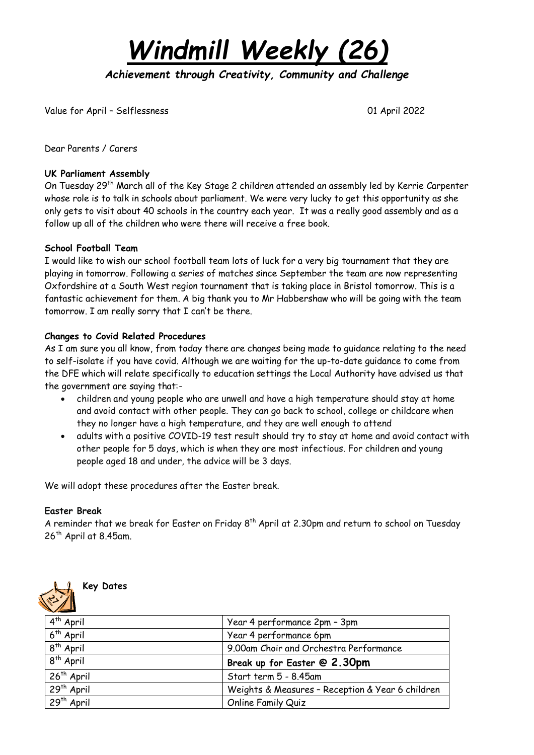*Windmill Weekly (26)*

*Achievement through Creativity, Community and Challenge* 

Value for April – Selflessness 01 April 2022

Dear Parents / Carers

### **UK Parliament Assembly**

On Tuesday 29<sup>th</sup> March all of the Key Stage 2 children attended an assembly led by Kerrie Carpenter whose role is to talk in schools about parliament. We were very lucky to get this opportunity as she only gets to visit about 40 schools in the country each year. It was a really good assembly and as a follow up all of the children who were there will receive a free book.

## **School Football Team**

I would like to wish our school football team lots of luck for a very big tournament that they are playing in tomorrow. Following a series of matches since September the team are now representing Oxfordshire at a South West region tournament that is taking place in Bristol tomorrow. This is a fantastic achievement for them. A big thank you to Mr Habbershaw who will be going with the team tomorrow. I am really sorry that I can't be there.

## **Changes to Covid Related Procedures**

As I am sure you all know, from today there are changes being made to guidance relating to the need to self-isolate if you have covid. Although we are waiting for the up-to-date guidance to come from the DFE which will relate specifically to education settings the Local Authority have advised us that the government are saying that:-

- children and young people who are unwell and have a high temperature should stay at home and avoid contact with other people. They can go back to school, college or childcare when they no longer have a high temperature, and they are well enough to attend
- adults with a positive COVID-19 test result should try to stay at home and avoid contact with other people for 5 days, which is when they are most infectious. For children and young people aged 18 and under, the advice will be 3 days.

We will adopt these procedures after the Easter break.

#### **Easter Break**

A reminder that we break for Easter on Friday  $8^\text{th}$  April at 2.30pm and return to school on Tuesday  $26<sup>th</sup>$  April at 8.45am.



**Key Dates**

| $4th$ April            | Year 4 performance 2pm - 3pm                     |
|------------------------|--------------------------------------------------|
| $6th$ April            | Year 4 performance 6pm                           |
| $8th$ April            | 9.00am Choir and Orchestra Performance           |
| $8th$ April            | Break up for Easter @ 2.30pm                     |
| 26 <sup>th</sup> April | Start term 5 - 8.45am                            |
| 29 <sup>th</sup> April | Weights & Measures - Reception & Year 6 children |
| 29 <sup>th</sup> April | <b>Online Family Quiz</b>                        |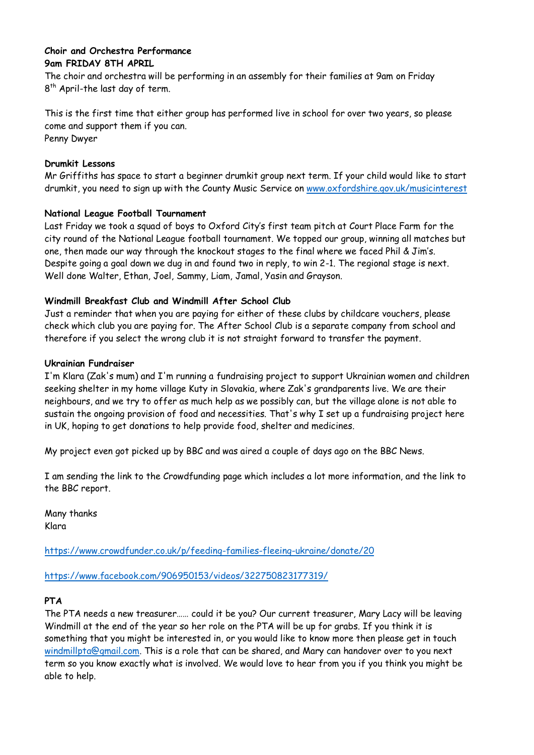## **Choir and Orchestra Performance 9am FRIDAY 8TH APRIL**

The choir and orchestra will be performing in an assembly for their families at 9am on Friday 8<sup>th</sup> April-the last day of term.

This is the first time that either group has performed live in school for over two years, so please come and support them if you can. Penny Dwyer

## **Drumkit Lessons**

Mr Griffiths has space to start a beginner drumkit group next term. If your child would like to start drumkit, you need to sign up with the County Music Service on [www.oxfordshire.gov.uk/musicinterest](http://www.oxfordshire.gov.uk/musicinterest)

## **National League Football Tournament**

Last Friday we took a squad of boys to Oxford City's first team pitch at Court Place Farm for the city round of the National League football tournament. We topped our group, winning all matches but one, then made our way through the knockout stages to the final where we faced Phil & Jim's. Despite going a goal down we dug in and found two in reply, to win 2-1. The regional stage is next. Well done Walter, Ethan, Joel, Sammy, Liam, Jamal, Yasin and Grayson.

## **Windmill Breakfast Club and Windmill After School Club**

Just a reminder that when you are paying for either of these clubs by childcare vouchers, please check which club you are paying for. The After School Club is a separate company from school and therefore if you select the wrong club it is not straight forward to transfer the payment.

## **Ukrainian Fundraiser**

I'm Klara (Zak's mum) and I'm running a fundraising project to support Ukrainian women and children seeking shelter in my home village Kuty in Slovakia, where Zak's grandparents live. We are their neighbours, and we try to offer as much help as we possibly can, but the village alone is not able to sustain the ongoing provision of food and necessities. That's why I set up a fundraising project here in UK, hoping to get donations to help provide food, shelter and medicines.

My project even got picked up by BBC and was aired a couple of days ago on the BBC News.

I am sending the link to the Crowdfunding page which includes a lot more information, and the link to the BBC report.

Many thanks Klara

<https://www.crowdfunder.co.uk/p/feeding-families-fleeing-ukraine/donate/20>

<https://www.facebook.com/906950153/videos/322750823177319/>

## **PTA**

The PTA needs a new treasurer…… could it be you? Our current treasurer, Mary Lacy will be leaving Windmill at the end of the year so her role on the PTA will be up for grabs. If you think it is something that you might be interested in, or you would like to know more then please get in touch [windmillpta@gmail.com.](mailto:windmillpta@gmail.com) This is a role that can be shared, and Mary can handover over to you next term so you know exactly what is involved. We would love to hear from you if you think you might be able to help.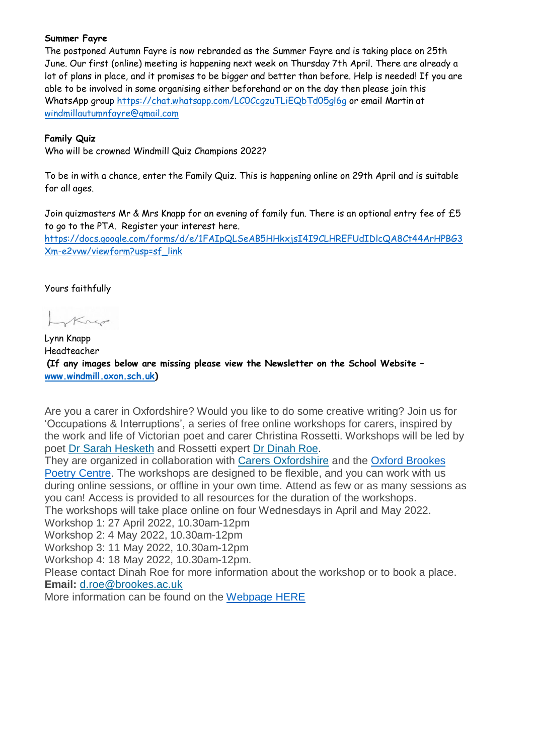### **Summer Fayre**

The postponed Autumn Fayre is now rebranded as the Summer Fayre and is taking place on 25th June. Our first (online) meeting is happening next week on Thursday 7th April. There are already a lot of plans in place, and it promises to be bigger and better than before. Help is needed! If you are able to be involved in some organising either beforehand or on the day then please join this WhatsApp group<https://chat.whatsapp.com/LC0CcgzuTLiEQbTd05gl6g> or email Martin at [windmillautumnfayre@gmail.com](mailto:windmillautumnfayre@gmail.com)

## **Family Quiz**

Who will be crowned Windmill Quiz Champions 2022?

To be in with a chance, enter the Family Quiz. This is happening online on 29th April and is suitable for all ages.

Join quizmasters Mr & Mrs Knapp for an evening of family fun. There is an optional entry fee of £5 to go to the PTA. Register your interest here.

[https://docs.google.com/forms/d/e/1FAIpQLSeAB5HHkxjsI4I9CLHREFUdIDlcQA8Ct44ArHPBG3](https://docs.google.com/forms/d/e/1FAIpQLSeAB5HHkxjsI4I9CLHREFUdIDlcQA8Ct44ArHPBG3Xm-e2vvw/viewform?usp=sf_link) [Xm-e2vvw/viewform?usp=sf\\_link](https://docs.google.com/forms/d/e/1FAIpQLSeAB5HHkxjsI4I9CLHREFUdIDlcQA8Ct44ArHPBG3Xm-e2vvw/viewform?usp=sf_link)

Yours faithfully

Krep

Lynn Knapp Headteacher **(If any images below are missing please view the Newsletter on the School Website – [www.windmill.oxon.sch.uk\)](http://www.windmill.oxon.sch.uk/)**

Are you a carer in Oxfordshire? Would you like to do some creative writing? Join us for 'Occupations & Interruptions', a series of free online workshops for carers, inspired by the work and life of Victorian poet and carer Christina Rossetti. Workshops will be led by poet Dr Sarah [Hesketh](http://www.pennedinthemargins.co.uk/index.php/2017/12/sarah-hesketh/) and Rossetti expert Dr [Dinah](https://www.brookes.ac.uk/templates/pages/staff.aspx?uid=p0076793) Roe.

They are organized in collaboration with Carers [Oxfordshire](https://www.carersoxfordshire.org.uk/) and the Oxford [Brookes](https://www.brookes.ac.uk/hss/events/occupations-and-interruptions--a-poetry-workshop-for-carers/) Poetry [Centre.](https://www.brookes.ac.uk/hss/events/occupations-and-interruptions--a-poetry-workshop-for-carers/) The workshops are designed to be flexible, and you can work with us during online sessions, or offline in your own time. Attend as few or as many sessions as you can! Access is provided to all resources for the duration of the workshops.

The workshops will take place online on four Wednesdays in April and May 2022.

Workshop 1: 27 April 2022, 10.30am-12pm

Workshop 2: 4 May 2022, 10.30am-12pm

Workshop 3: 11 May 2022, 10.30am-12pm

Workshop 4: 18 May 2022, 10.30am-12pm.

Please contact Dinah Roe for more information about the workshop or to book a place. **Email:** [d.roe@brookes.ac.uk](mailto:d.roe@brookes.ac.uk)

More information can be found on the [Webpage](https://www.brookes.ac.uk/hss/events/occupations-and-interruptions--a-poetry-workshop-for-carers/) HERE